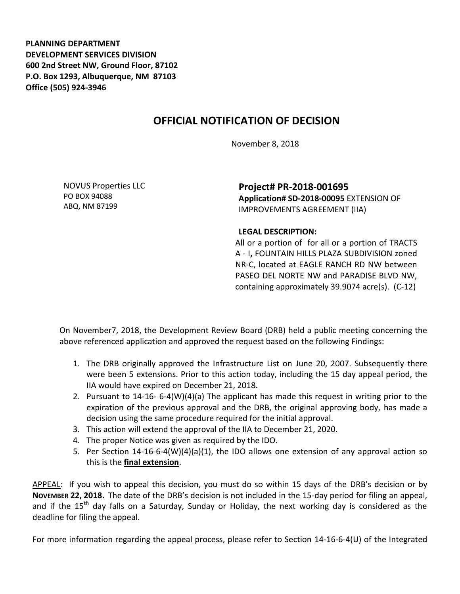**PLANNING DEPARTMENT DEVELOPMENT SERVICES DIVISION 600 2nd Street NW, Ground Floor, 87102 P.O. Box 1293, Albuquerque, NM 87103 Office (505) 924-3946** 

## **OFFICIAL NOTIFICATION OF DECISION**

November 8, 2018

NOVUS Properties LLC PO BOX 94088 ABQ, NM 87199

**Project# PR-2018-001695 Application# SD-2018-00095** EXTENSION OF IMPROVEMENTS AGREEMENT (IIA)

## **LEGAL DESCRIPTION:**

All or a portion of for all or a portion of TRACTS A - I**,** FOUNTAIN HILLS PLAZA SUBDIVISION zoned NR-C, located at EAGLE RANCH RD NW between PASEO DEL NORTE NW and PARADISE BLVD NW, containing approximately 39.9074 acre(s). (C-12)

On November7, 2018, the Development Review Board (DRB) held a public meeting concerning the above referenced application and approved the request based on the following Findings:

- 1. The DRB originally approved the Infrastructure List on June 20, 2007. Subsequently there were been 5 extensions. Prior to this action today, including the 15 day appeal period, the IIA would have expired on December 21, 2018.
- 2. Pursuant to 14-16- 6-4(W)(4)(a) The applicant has made this request in writing prior to the expiration of the previous approval and the DRB, the original approving body, has made a decision using the same procedure required for the initial approval.
- 3. This action will extend the approval of the IIA to December 21, 2020.
- 4. The proper Notice was given as required by the IDO.
- 5. Per Section 14-16-6-4(W)(4)(a)(1), the IDO allows one extension of any approval action so this is the **final extension**.

APPEAL: If you wish to appeal this decision, you must do so within 15 days of the DRB's decision or by **NOVEMBER 22, 2018.** The date of the DRB's decision is not included in the 15-day period for filing an appeal, and if the  $15<sup>th</sup>$  day falls on a Saturday, Sunday or Holiday, the next working day is considered as the deadline for filing the appeal.

For more information regarding the appeal process, please refer to Section 14-16-6-4(U) of the Integrated